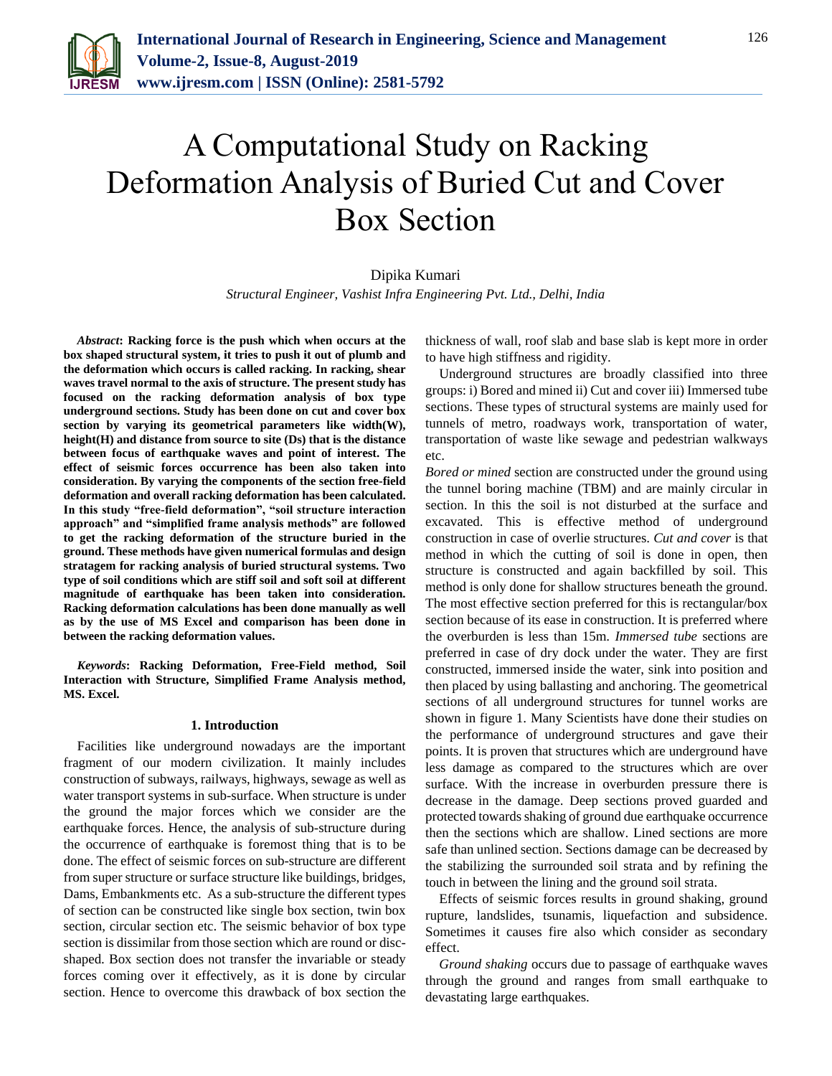

# A Computational Study on Racking Deformation Analysis of Buried Cut and Cover Box Section

### Dipika Kumari

*Structural Engineer, Vashist Infra Engineering Pvt. Ltd., Delhi, India*

*Abstract***: Racking force is the push which when occurs at the box shaped structural system, it tries to push it out of plumb and the deformation which occurs is called racking. In racking, shear waves travel normal to the axis of structure. The present study has focused on the racking deformation analysis of box type underground sections. Study has been done on cut and cover box section by varying its geometrical parameters like width(W), height(H) and distance from source to site (Ds) that is the distance between focus of earthquake waves and point of interest. The effect of seismic forces occurrence has been also taken into consideration. By varying the components of the section free-field deformation and overall racking deformation has been calculated. In this study "free-field deformation", "soil structure interaction approach" and "simplified frame analysis methods" are followed to get the racking deformation of the structure buried in the ground. These methods have given numerical formulas and design stratagem for racking analysis of buried structural systems. Two type of soil conditions which are stiff soil and soft soil at different magnitude of earthquake has been taken into consideration. Racking deformation calculations has been done manually as well as by the use of MS Excel and comparison has been done in between the racking deformation values.**

*Keywords***: Racking Deformation, Free-Field method, Soil Interaction with Structure, Simplified Frame Analysis method, MS. Excel.** 

#### **1. Introduction**

Facilities like underground nowadays are the important fragment of our modern civilization. It mainly includes construction of subways, railways, highways, sewage as well as water transport systems in sub-surface. When structure is under the ground the major forces which we consider are the earthquake forces. Hence, the analysis of sub-structure during the occurrence of earthquake is foremost thing that is to be done. The effect of seismic forces on sub-structure are different from super structure or surface structure like buildings, bridges, Dams, Embankments etc. As a sub-structure the different types of section can be constructed like single box section, twin box section, circular section etc. The seismic behavior of box type section is dissimilar from those section which are round or discshaped. Box section does not transfer the invariable or steady forces coming over it effectively, as it is done by circular section. Hence to overcome this drawback of box section the thickness of wall, roof slab and base slab is kept more in order to have high stiffness and rigidity.

Underground structures are broadly classified into three groups: i) Bored and mined ii) Cut and cover iii) Immersed tube sections. These types of structural systems are mainly used for tunnels of metro, roadways work, transportation of water, transportation of waste like sewage and pedestrian walkways etc.

*Bored or mined* section are constructed under the ground using the tunnel boring machine (TBM) and are mainly circular in section. In this the soil is not disturbed at the surface and excavated. This is effective method of underground construction in case of overlie structures. *Cut and cover* is that method in which the cutting of soil is done in open, then structure is constructed and again backfilled by soil. This method is only done for shallow structures beneath the ground. The most effective section preferred for this is rectangular/box section because of its ease in construction. It is preferred where the overburden is less than 15m. *Immersed tube* sections are preferred in case of dry dock under the water. They are first constructed, immersed inside the water, sink into position and then placed by using ballasting and anchoring. The geometrical sections of all underground structures for tunnel works are shown in figure 1. Many Scientists have done their studies on the performance of underground structures and gave their points. It is proven that structures which are underground have less damage as compared to the structures which are over surface. With the increase in overburden pressure there is decrease in the damage. Deep sections proved guarded and protected towards shaking of ground due earthquake occurrence then the sections which are shallow. Lined sections are more safe than unlined section. Sections damage can be decreased by the stabilizing the surrounded soil strata and by refining the touch in between the lining and the ground soil strata.

Effects of seismic forces results in ground shaking, ground rupture, landslides, tsunamis, liquefaction and subsidence. Sometimes it causes fire also which consider as secondary effect.

*Ground shaking* occurs due to passage of earthquake waves through the ground and ranges from small earthquake to devastating large earthquakes.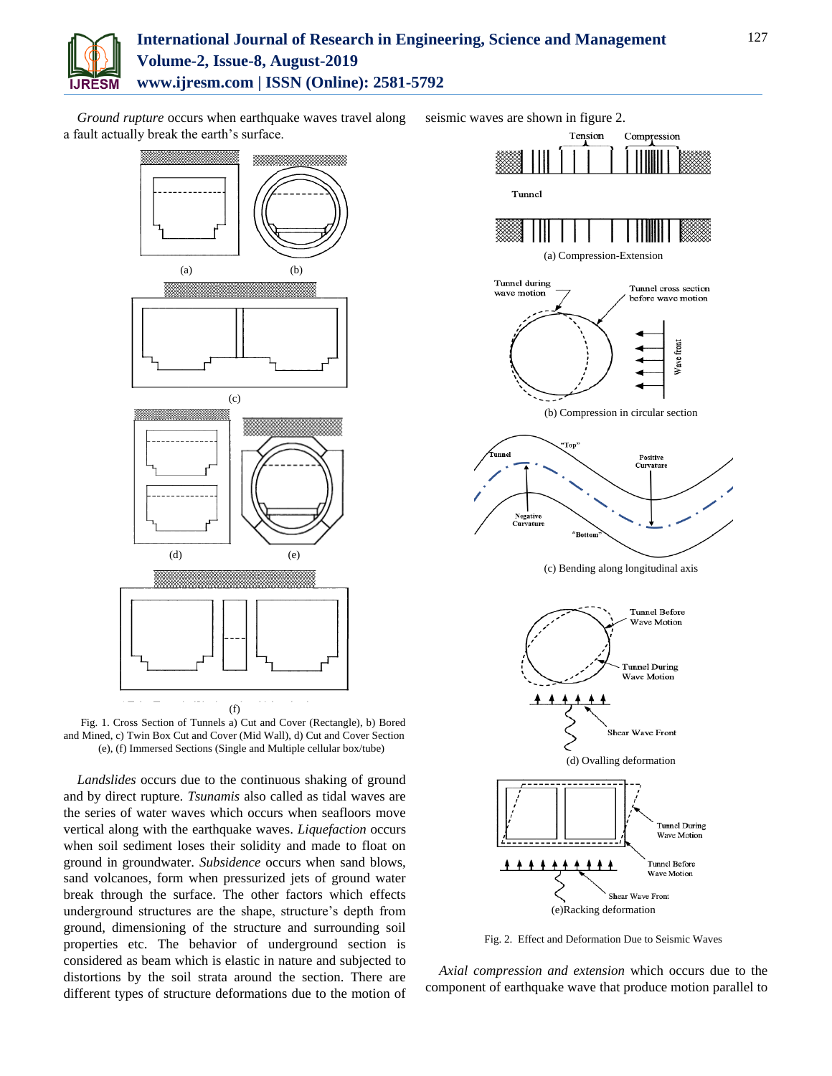

## **International Journal of Research in Engineering, Science and Management Volume-2, Issue-8, August-2019 www.ijresm.com | ISSN (Online): 2581-5792**

*Ground rupture* occurs when earthquake waves travel along a fault actually break the earth's surface.



Fig. 1. Cross Section of Tunnels a) Cut and Cover (Rectangle), b) Bored and Mined, c) Twin Box Cut and Cover (Mid Wall), d) Cut and Cover Section (e), (f) Immersed Sections (Single and Multiple cellular box/tube)

*Landslides* occurs due to the continuous shaking of ground and by direct rupture. *Tsunamis* also called as tidal waves are the series of water waves which occurs when seafloors move vertical along with the earthquake waves. *Liquefaction* occurs when soil sediment loses their solidity and made to float on ground in groundwater. *Subsidence* occurs when sand blows, sand volcanoes, form when pressurized jets of ground water break through the surface. The other factors which effects underground structures are the shape, structure's depth from ground, dimensioning of the structure and surrounding soil properties etc. The behavior of underground section is considered as beam which is elastic in nature and subjected to distortions by the soil strata around the section. There are different types of structure deformations due to the motion of



Fig. 2. Effect and Deformation Due to Seismic Waves

*Axial compression and extension* which occurs due to the component of earthquake wave that produce motion parallel to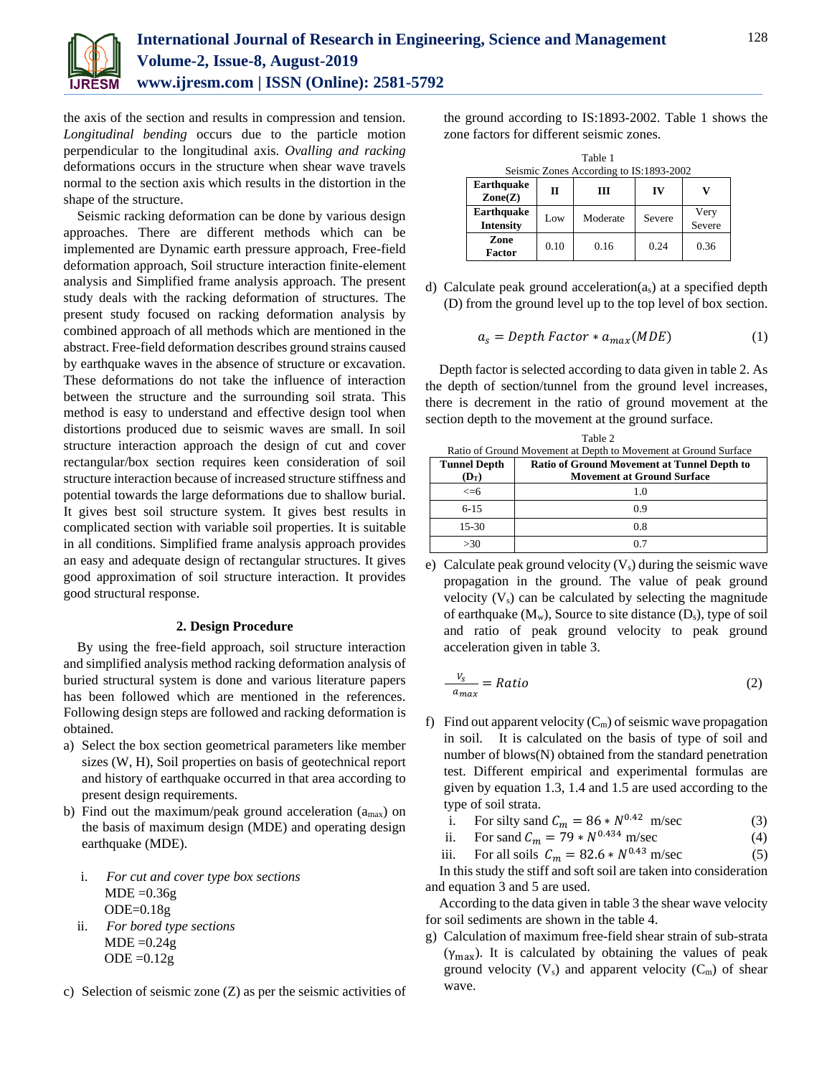

the axis of the section and results in compression and tension. *Longitudinal bending* occurs due to the particle motion perpendicular to the longitudinal axis. *Ovalling and racking* deformations occurs in the structure when shear wave travels normal to the section axis which results in the distortion in the shape of the structure.

Seismic racking deformation can be done by various design approaches. There are different methods which can be implemented are Dynamic earth pressure approach, Free-field deformation approach, Soil structure interaction finite-element analysis and Simplified frame analysis approach. The present study deals with the racking deformation of structures. The present study focused on racking deformation analysis by combined approach of all methods which are mentioned in the abstract. Free-field deformation describes ground strains caused by earthquake waves in the absence of structure or excavation. These deformations do not take the influence of interaction between the structure and the surrounding soil strata. This method is easy to understand and effective design tool when distortions produced due to seismic waves are small. In soil structure interaction approach the design of cut and cover rectangular/box section requires keen consideration of soil structure interaction because of increased structure stiffness and potential towards the large deformations due to shallow burial. It gives best soil structure system. It gives best results in complicated section with variable soil properties. It is suitable in all conditions. Simplified frame analysis approach provides an easy and adequate design of rectangular structures. It gives good approximation of soil structure interaction. It provides good structural response.

#### **2. Design Procedure**

By using the free-field approach, soil structure interaction and simplified analysis method racking deformation analysis of buried structural system is done and various literature papers has been followed which are mentioned in the references. Following design steps are followed and racking deformation is obtained.

- a) Select the box section geometrical parameters like member sizes (W, H), Soil properties on basis of geotechnical report and history of earthquake occurred in that area according to present design requirements.
- b) Find out the maximum/peak ground acceleration  $(a<sub>max</sub>)$  on the basis of maximum design (MDE) and operating design earthquake (MDE).
	- i. *For cut and cover type box sections*  $MDE = 0.36g$  $ODE=0.18g$
	- ii. *For bored type sections*  $MDE = 0.24g$  $ODE = 0.12g$
- c) Selection of seismic zone (Z) as per the seismic activities of

the ground according to IS:1893-2002. Table 1 shows the zone factors for different seismic zones.

| Table 1                                   |      |          |        |                |  |  |
|-------------------------------------------|------|----------|--------|----------------|--|--|
| Seismic Zones According to IS:1893-2002   |      |          |        |                |  |  |
| Earthquake<br>$\mathbf{Zone}(\mathbf{Z})$ | П    | Ш        | IV     |                |  |  |
| Earthquake<br><b>Intensity</b>            | Low  | Moderate | Severe | Very<br>Severe |  |  |
| Zone<br><b>Factor</b>                     | 0.10 | 0.16     | 0.24   | 0.36           |  |  |

d) Calculate peak ground acceleration(as) at a specified depth (D) from the ground level up to the top level of box section.

$$
a_s = Depth Factor * a_{max}(MDE)
$$
 (1)

Depth factor is selected according to data given in table 2. As the depth of section/tunnel from the ground level increases, there is decrement in the ratio of ground movement at the section depth to the movement at the ground surface.

| Table 2                                                         |                                                    |  |  |  |
|-----------------------------------------------------------------|----------------------------------------------------|--|--|--|
| Ratio of Ground Movement at Depth to Movement at Ground Surface |                                                    |  |  |  |
| <b>Tunnel Depth</b>                                             | <b>Ratio of Ground Movement at Tunnel Depth to</b> |  |  |  |
| $(D_T)$                                                         | <b>Movement at Ground Surface</b>                  |  |  |  |
| $\leq$ =6                                                       | 1.0                                                |  |  |  |
| $6 - 15$                                                        | 0.9                                                |  |  |  |
| $15 - 30$                                                       | 0.8                                                |  |  |  |
| >30                                                             | 0.7                                                |  |  |  |

e) Calculate peak ground velocity  $(V_s)$  during the seismic wave propagation in the ground. The value of peak ground velocity  $(V_s)$  can be calculated by selecting the magnitude of earthquake  $(M_w)$ , Source to site distance  $(D_s)$ , type of soil and ratio of peak ground velocity to peak ground acceleration given in table 3.

$$
\frac{V_S}{a_{max}} = Ratio \tag{2}
$$

- f) Find out apparent velocity  $(C_m)$  of seismic wave propagation in soil. It is calculated on the basis of type of soil and number of blows(N) obtained from the standard penetration test. Different empirical and experimental formulas are given by equation 1.3, 1.4 and 1.5 are used according to the type of soil strata.
	- i. For silty sand  $C_m = 86 * N^{0.42}$  m/sec (3)
	- ii. For sand  $C_m = 79 * N^{0.434}$  m/sec (4)<br>iii. For all soils  $C_m = 82.6 * N^{0.43}$  m/sec (5)
	- For all soils  $C_m = 82.6 * N^{0.43}$  m/sec

In this study the stiff and soft soil are taken into consideration and equation 3 and 5 are used.

According to the data given in table 3 the shear wave velocity for soil sediments are shown in the table 4.

g) Calculation of maximum free-field shear strain of sub-strata  $(\gamma_{\text{max}})$ . It is calculated by obtaining the values of peak ground velocity  $(V_s)$  and apparent velocity  $(C_m)$  of shear wave.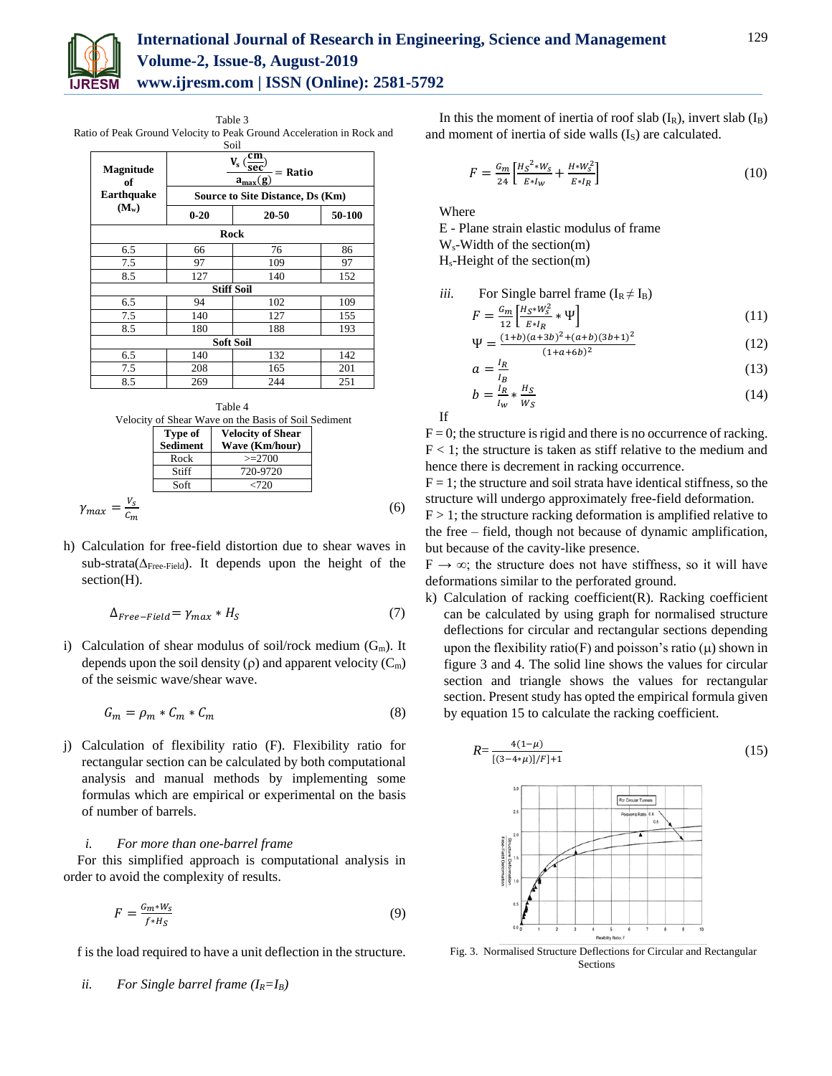

## **International Journal of Research in Engineering, Science and Management Volume-2, Issue-8, August-2019 www.ijresm.com | ISSN (Online): 2581-5792**

Table 3 Ratio of Peak Ground Velocity to Peak Ground Acceleration in Rock and Soil

|                   | ພບ⊥⊥              |                                                              |     |  |  |  |
|-------------------|-------------------|--------------------------------------------------------------|-----|--|--|--|
| Magnitude<br>of   |                   | cm<br>$\mathbf{V}_\mathrm{s}$ (<br>$=$ Ratio<br>$a_{max}(g)$ |     |  |  |  |
| <b>Earthquake</b> |                   | <b>Source to Site Distance, Ds (Km)</b>                      |     |  |  |  |
| $(M_w)$           | $0 - 20$          | 20-50                                                        |     |  |  |  |
| Rock              |                   |                                                              |     |  |  |  |
| 6.5               | 66                | 76                                                           | 86  |  |  |  |
| 7.5               | 97                | 109                                                          | 97  |  |  |  |
| 8.5               | 127               | 140                                                          | 152 |  |  |  |
|                   | <b>Stiff Soil</b> |                                                              |     |  |  |  |
| 6.5               | 94                | 102                                                          | 109 |  |  |  |
| 7.5               | 140               | 127                                                          | 155 |  |  |  |
| 8.5               | 180               | 188                                                          | 193 |  |  |  |
| <b>Soft Soil</b>  |                   |                                                              |     |  |  |  |
| 6.5               | 140               | 132                                                          | 142 |  |  |  |
| 7.5               | 208               | 165                                                          | 201 |  |  |  |
| 8.5               | 269               | 244                                                          | 251 |  |  |  |



h) Calculation for free-field distortion due to shear waves in sub-strata( $\Delta$ <sub>Free-Field</sub>). It depends upon the height of the section(H).

$$
\Delta_{Free-Field} = \gamma_{max} * H_S \tag{7}
$$

i) Calculation of shear modulus of soil/rock medium  $(G_m)$ . It depends upon the soil density ( $\rho$ ) and apparent velocity ( $C_m$ ) of the seismic wave/shear wave.

$$
G_m = \rho_m * C_m * C_m \tag{8}
$$

j) Calculation of flexibility ratio (F). Flexibility ratio for rectangular section can be calculated by both computational analysis and manual methods by implementing some formulas which are empirical or experimental on the basis of number of barrels.

#### *i. For more than one-barrel frame*

For this simplified approach is computational analysis in order to avoid the complexity of results.

$$
F = \frac{G_m * W_S}{f * H_S} \tag{9}
$$

f is the load required to have a unit deflection in the structure.

*ii.* For Single barrel frame (
$$
I_R = I_B
$$
)

In this the moment of inertia of roof slab  $(I_R)$ , invert slab  $(I_B)$ and moment of inertia of side walls (I<sub>S</sub>) are calculated.

$$
F = \frac{G_m}{24} \left[ \frac{H_S^{2*} W_S}{E^* I_W} + \frac{H^* W_S^2}{E^* I_R} \right]
$$
(10)

Where

E - Plane strain elastic modulus of frame

Ws-Width of the section(m)

 $H_s$ -Height of the section(m)

*iii.* For Single barrel frame 
$$
(I_R \neq I_B)
$$
  $G_{\text{m}} \times I_{\text{max}}^{H \times k} = 1$ 

$$
F = \frac{G_m}{12} \left[ \frac{H_S * W_S^2}{E * I_R} * \Psi \right]
$$
  

$$
\frac{(1+h)(a+3h)^2 + (a+h)(3h+1)^2}{(1+h)(a+3h)^2 + (a+h)(3h+1)^2}
$$
 (11)

$$
\Psi = \frac{(1+b)(a+3b)^2 + (a+b)(3b+1)^2}{(1+a+b)^2} \tag{12}
$$

$$
=\frac{I_R}{I_B} \tag{13}
$$

$$
b = \frac{I_R}{I_W} * \frac{H_S}{W_S} \tag{14}
$$

If

 $\overline{a}$ 

 $F = 0$ ; the structure is rigid and there is no occurrence of racking.  $F < 1$ ; the structure is taken as stiff relative to the medium and hence there is decrement in racking occurrence.

 $F = 1$ ; the structure and soil strata have identical stiffness, so the structure will undergo approximately free-field deformation.

 $F > 1$ ; the structure racking deformation is amplified relative to the free – field, though not because of dynamic amplification, but because of the cavity-like presence.

 $F \rightarrow \infty$ ; the structure does not have stiffness, so it will have deformations similar to the perforated ground.

k) Calculation of racking coefficient(R). Racking coefficient can be calculated by using graph for normalised structure deflections for circular and rectangular sections depending upon the flexibility ratio(F) and poisson's ratio ( $\mu$ ) shown in figure 3 and 4. The solid line shows the values for circular section and triangle shows the values for rectangular section. Present study has opted the empirical formula given by equation 15 to calculate the racking coefficient.

$$
R = \frac{4(1-\mu)}{[(3-4*\mu)]/F]+1}
$$
(15)

Fig. 3. Normalised Structure Deflections for Circular and Rectangular Sections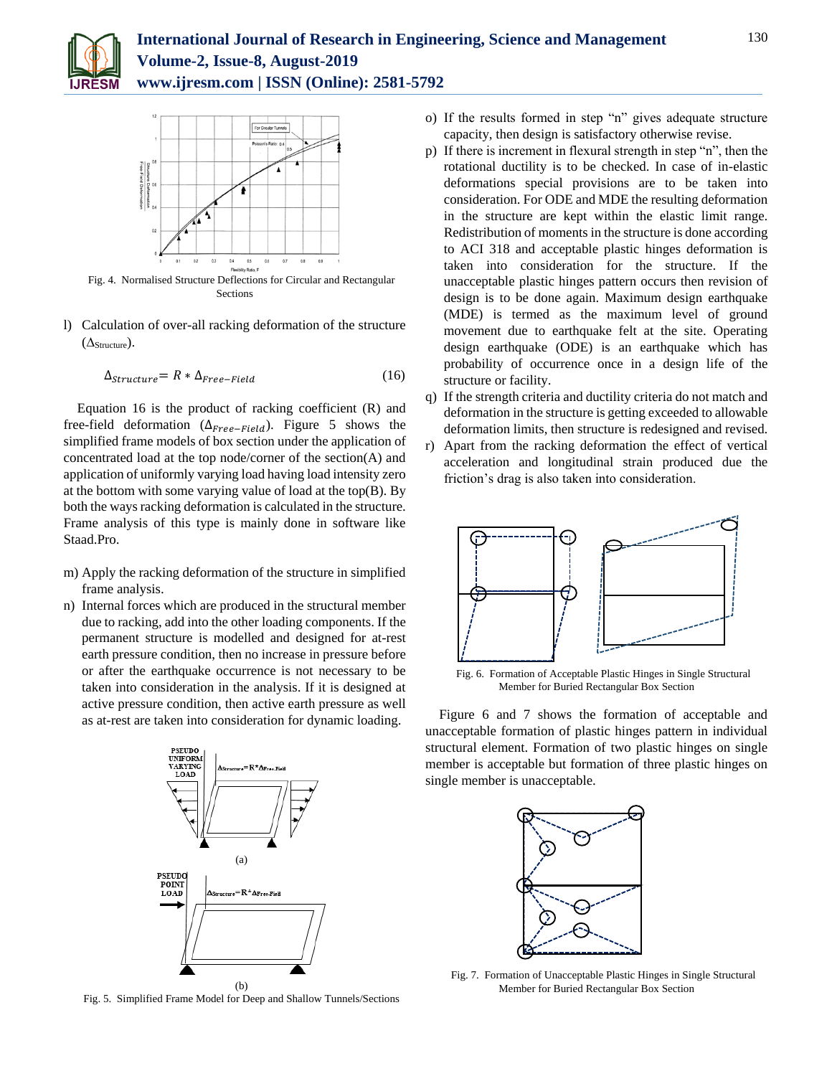



Fig. 4. Normalised Structure Deflections for Circular and Rectangular Sections

l) Calculation of over-all racking deformation of the structure  $(\Delta_{\text{Structure}}).$ 

$$
\Delta_{Structure} = R * \Delta_{Free-Field} \tag{16}
$$

Equation 16 is the product of racking coefficient (R) and free-field deformation ( $\Delta_{Free-Field}$ ). Figure 5 shows the simplified frame models of box section under the application of concentrated load at the top node/corner of the section(A) and application of uniformly varying load having load intensity zero at the bottom with some varying value of load at the top(B). By both the ways racking deformation is calculated in the structure. Frame analysis of this type is mainly done in software like Staad.Pro.

- m) Apply the racking deformation of the structure in simplified frame analysis.
- n) Internal forces which are produced in the structural member due to racking, add into the other loading components. If the permanent structure is modelled and designed for at-rest earth pressure condition, then no increase in pressure before or after the earthquake occurrence is not necessary to be taken into consideration in the analysis. If it is designed at active pressure condition, then active earth pressure as well as at-rest are taken into consideration for dynamic loading.



Fig. 5. Simplified Frame Model for Deep and Shallow Tunnels/Sections

- o) If the results formed in step "n" gives adequate structure capacity, then design is satisfactory otherwise revise.
- p) If there is increment in flexural strength in step "n", then the rotational ductility is to be checked. In case of in-elastic deformations special provisions are to be taken into consideration. For ODE and MDE the resulting deformation in the structure are kept within the elastic limit range. Redistribution of moments in the structure is done according to ACI 318 and acceptable plastic hinges deformation is taken into consideration for the structure. If the unacceptable plastic hinges pattern occurs then revision of design is to be done again. Maximum design earthquake (MDE) is termed as the maximum level of ground movement due to earthquake felt at the site. Operating design earthquake (ODE) is an earthquake which has probability of occurrence once in a design life of the structure or facility.
- q) If the strength criteria and ductility criteria do not match and deformation in the structure is getting exceeded to allowable deformation limits, then structure is redesigned and revised.
- r) Apart from the racking deformation the effect of vertical acceleration and longitudinal strain produced due the friction's drag is also taken into consideration.



Fig. 6. Formation of Acceptable Plastic Hinges in Single Structural Member for Buried Rectangular Box Section

Figure 6 and 7 shows the formation of acceptable and unacceptable formation of plastic hinges pattern in individual structural element. Formation of two plastic hinges on single member is acceptable but formation of three plastic hinges on single member is unacceptable.



Fig. 7. Formation of Unacceptable Plastic Hinges in Single Structural Member for Buried Rectangular Box Section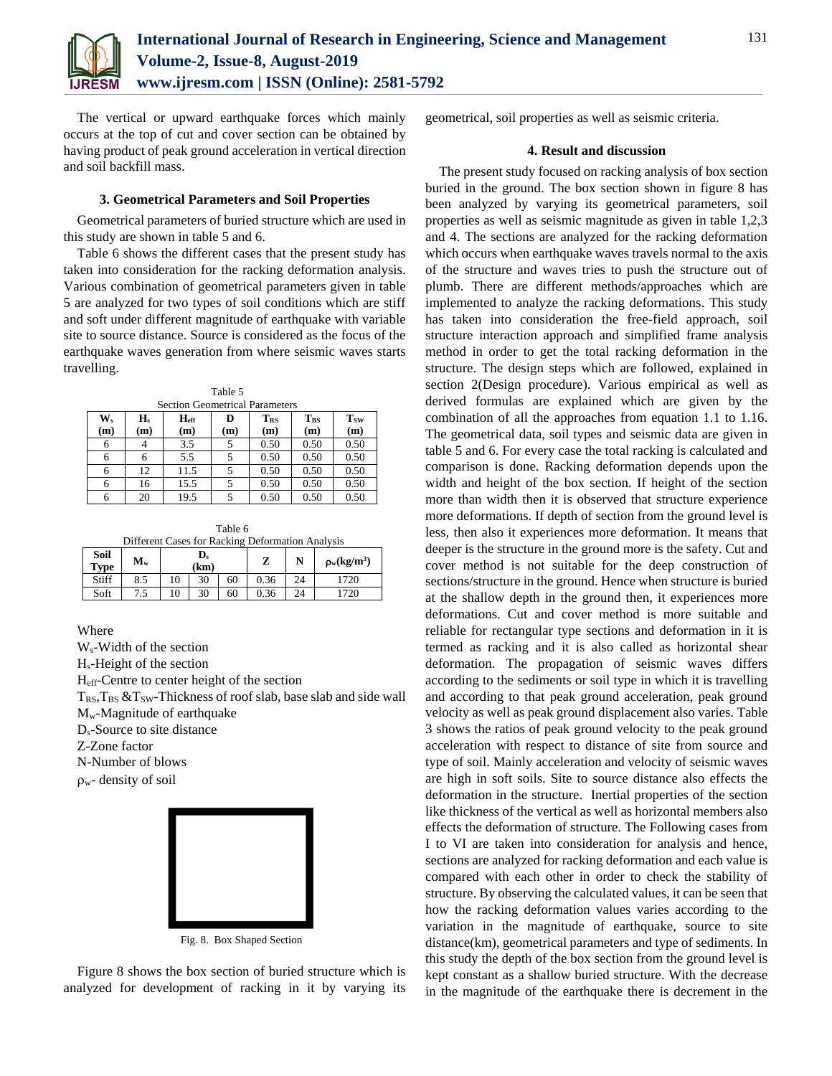

The vertical or upward earthquake forces which mainly occurs at the top of cut and cover section can be obtained by having product of peak ground acceleration in vertical direction and soil backfill mass.

#### **3. Geometrical Parameters and Soil Properties**

Geometrical parameters of buried structure which are used in this study are shown in table 5 and 6.

Table 6 shows the different cases that the present study has taken into consideration for the racking deformation analysis. Various combination of geometrical parameters given in table 5 are analyzed for two types of soil conditions which are stiff and soft under different magnitude of earthquake with variable site to source distance. Source is considered as the focus of the earthquake waves generation from where seismic waves starts travelling.

| <b>Section Geometrical Parameters</b> |           |                         |          |                        |                 |                   |  |
|---------------------------------------|-----------|-------------------------|----------|------------------------|-----------------|-------------------|--|
| $\mathbf{W}_\mathrm{s}$<br>(m)        | H.<br>(m) | $H_{\text{eff}}$<br>(m) | D<br>(m) | T <sub>RS</sub><br>(m) | $T_{BS}$<br>(m) | <b>Tsw</b><br>(m) |  |
| 6                                     |           | 3.5                     |          | 0.50                   | 0.50            | 0.50              |  |
| 6                                     | 6         | 5.5                     |          | 0.50                   | 0.50            | 0.50              |  |
| 6                                     | 12        | 11.5                    |          | 0.50                   | 0.50            | 0.50              |  |
| 6                                     | 16        | 15.5                    |          | 0.50                   | 0.50            | 0.50              |  |
| 6                                     | 20        | 19.5                    |          | 0.50                   | 0.50            | 0.50              |  |

Table 6 Different Cases for Racking Deformation Analysis

| Soil<br><b>Type</b> | $M_{w}$ | $\mathbf{D}_\mathrm{s}$<br>(km) |    |    | π.<br>▵ | N  | $\rho_w(kg/m^3)$ |
|---------------------|---------|---------------------------------|----|----|---------|----|------------------|
| Stiff               | 8.5     | 10                              | 30 | 60 | 0.36    | 24 | 1720             |
| Soft                | ں. ا    | 10                              | 30 | 60 | 0.36    | 24 | 720              |

Where

Ws-Width of the section Hs-Height of the section Heff-Centre to center height of the section  $T_{RS}$ ,  $T_{BS}$  &  $T_{SW}$ -Thickness of roof slab, base slab and side wall Mw-Magnitude of earthquake Ds-Source to site distance Z-Zone factor N-Number of blows

 $\rho_w$ - density of soil



Fig. 8. Box Shaped Section

Figure 8 shows the box section of buried structure which is analyzed for development of racking in it by varying its geometrical, soil properties as well as seismic criteria.

#### **4. Result and discussion**

The present study focused on racking analysis of box section buried in the ground. The box section shown in figure 8 has been analyzed by varying its geometrical parameters, soil properties as well as seismic magnitude as given in table 1,2,3 and 4. The sections are analyzed for the racking deformation which occurs when earthquake waves travels normal to the axis of the structure and waves tries to push the structure out of plumb. There are different methods/approaches which are implemented to analyze the racking deformations. This study has taken into consideration the free-field approach, soil structure interaction approach and simplified frame analysis method in order to get the total racking deformation in the structure. The design steps which are followed, explained in section 2(Design procedure). Various empirical as well as derived formulas are explained which are given by the combination of all the approaches from equation 1.1 to 1.16. The geometrical data, soil types and seismic data are given in table 5 and 6. For every case the total racking is calculated and comparison is done. Racking deformation depends upon the width and height of the box section. If height of the section more than width then it is observed that structure experience more deformations. If depth of section from the ground level is less, then also it experiences more deformation. It means that deeper is the structure in the ground more is the safety. Cut and cover method is not suitable for the deep construction of sections/structure in the ground. Hence when structure is buried at the shallow depth in the ground then, it experiences more deformations. Cut and cover method is more suitable and reliable for rectangular type sections and deformation in it is termed as racking and it is also called as horizontal shear deformation. The propagation of seismic waves differs according to the sediments or soil type in which it is travelling and according to that peak ground acceleration, peak ground velocity as well as peak ground displacement also varies. Table 3 shows the ratios of peak ground velocity to the peak ground acceleration with respect to distance of site from source and type of soil. Mainly acceleration and velocity of seismic waves are high in soft soils. Site to source distance also effects the deformation in the structure. Inertial properties of the section like thickness of the vertical as well as horizontal members also effects the deformation of structure. The Following cases from I to VI are taken into consideration for analysis and hence, sections are analyzed for racking deformation and each value is compared with each other in order to check the stability of structure. By observing the calculated values, it can be seen that how the racking deformation values varies according to the variation in the magnitude of earthquake, source to site distance(km), geometrical parameters and type of sediments. In this study the depth of the box section from the ground level is kept constant as a shallow buried structure. With the decrease in the magnitude of the earthquake there is decrement in the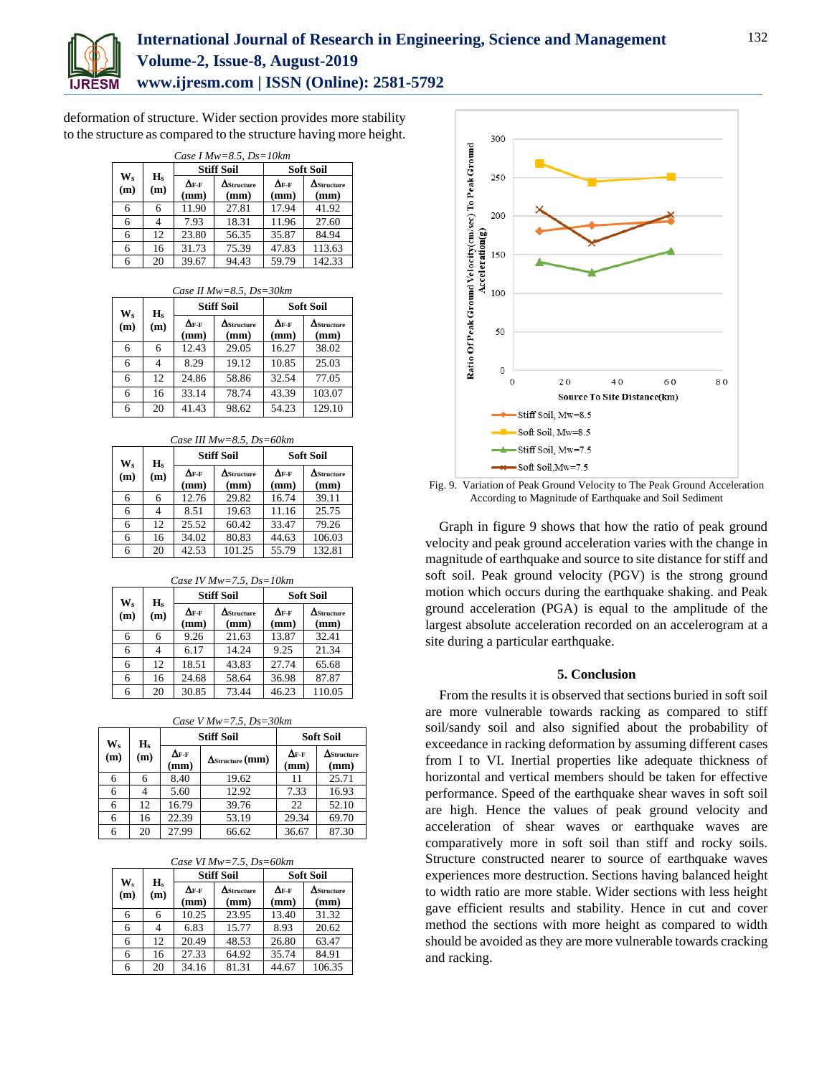

## **International Journal of Research in Engineering, Science and Management Volume-2, Issue-8, August-2019 www.ijresm.com | ISSN (Online): 2581-5792**

deformation of structure. Wider section provides more stability to the structure as compared to the structure having more height.

|           | Case I Mw=8.5, $Ds=10km$ |                                 |                            |                                 |                            |  |  |
|-----------|--------------------------|---------------------------------|----------------------------|---------------------------------|----------------------------|--|--|
|           |                          |                                 | <b>Stiff Soil</b>          |                                 | <b>Soft Soil</b>           |  |  |
| W.<br>(m) | $\mathbf{H}_s$<br>(m)    | $\Delta_{\mathrm{F-F}}$<br>(mm) | $\Delta$ Structure<br>(mm) | $\Delta_{\mathrm{F-F}}$<br>(mm) | $\Delta$ Structure<br>(mm) |  |  |
| 6         | 6                        | 11.90                           | 27.81                      | 17.94                           | 41.92                      |  |  |
|           |                          | 7.93                            | 18.31                      | 11.96                           | 27.60                      |  |  |
| 6         | 12                       | 23.80                           | 56.35                      | 35.87                           | 84.94                      |  |  |
| 6         | 16                       | 31.73                           | 75.39                      | 47.83                           | 113.63                     |  |  |
|           | 20                       | 39.67                           | 94.43                      | 59.79                           | 142.33                     |  |  |

|  |  |  | Case II $Mw=8.5$ , $Ds=30km$ |
|--|--|--|------------------------------|
|--|--|--|------------------------------|

| H <sub>s</sub><br>$W_s$ |     |                                 | <b>Stiff Soil</b>          | <b>Soft Soil</b>                |                            |
|-------------------------|-----|---------------------------------|----------------------------|---------------------------------|----------------------------|
| (m)                     | (m) | $\Delta_{\mathrm{F-F}}$<br>(mm) | $\Delta$ Structure<br>(mm) | $\Delta_{\mathrm{F-F}}$<br>(mm) | $\Delta$ Structure<br>(mm) |
| 6                       | 6   | 12.43                           | 29.05                      | 16.27                           | 38.02                      |
| 6                       | 4   | 8.29                            | 19.12                      | 10.85                           | 25.03                      |
| 6                       | 12. | 24.86                           | 58.86                      | 32.54                           | 77.05                      |
| 6                       | 16  | 33.14                           | 78.74                      | 43.39                           | 103.07                     |
| 6                       | 20  | 41.43                           | 98.62                      | 54.23                           | 129.10                     |

|  | Case III $Mw=8.5$ , $Ds=60km$ |
|--|-------------------------------|

| $W_s$ | H <sub>s</sub> | <b>Stiff Soil</b>               |                            | <b>Soft Soil</b>                |                            |
|-------|----------------|---------------------------------|----------------------------|---------------------------------|----------------------------|
| (m)   | (m)            | $\Delta_{\mathrm{F-F}}$<br>(mm) | $\Delta$ Structure<br>(mm) | $\Delta_{\mathrm{F-F}}$<br>(mm) | $\Delta$ Structure<br>(mm) |
| 6     | 6              | 12.76                           | 29.82                      | 16.74                           | 39.11                      |
| 6     |                | 8.51                            | 19.63                      | 11.16                           | 25.75                      |
| 6     | 12             | 25.52                           | 60.42                      | 33.47                           | 79.26                      |
| 6     | 16             | 34.02                           | 80.83                      | 44.63                           | 106.03                     |
| 6     | 20             | 42.53                           | 101.25                     | 55.79                           | 132.81                     |

*Case IV Mw=7.5, Ds=10km*

| H <sub>s</sub><br>$W_s$ |     | <b>Stiff Soil</b>               |                            | <b>Soft Soil</b>                |                            |
|-------------------------|-----|---------------------------------|----------------------------|---------------------------------|----------------------------|
| (m)                     | (m) | $\Delta_{\mathrm{F-F}}$<br>(mm) | $\Delta$ Structure<br>(mm) | $\Delta_{\mathrm{F-F}}$<br>(mm) | $\Delta$ Structure<br>(mm) |
| 6                       | 6   | 9.26                            | 21.63                      | 13.87                           | 32.41                      |
| 6                       |     | 6.17                            | 14.24                      | 9.25                            | 21.34                      |
| 6                       | 12  | 18.51                           | 43.83                      | 27.74                           | 65.68                      |
| 6                       | 16  | 24.68                           | 58.64                      | 36.98                           | 87.87                      |
|                         | 20  | 30.85                           | 73.44                      | 46.23                           | 110.05                     |

*Case V Mw=7.5, Ds=30km*

| $\mathbf{W_{S}}$<br>(m) | $\mathbf{H}_s$<br>(m) | <b>Stiff Soil</b>               |                         | <b>Soft Soil</b>                                         |                            |
|-------------------------|-----------------------|---------------------------------|-------------------------|----------------------------------------------------------|----------------------------|
|                         |                       | $\Delta_{\mathrm{F-F}}$<br>(mm) | $\Delta$ Structure (mm) | $\mathbf{\Delta}_{\mathbf{F}\text{-}\mathbf{F}}$<br>(mm) | $\Delta$ Structure<br>(mm) |
| 6                       | 6                     | 8.40                            | 19.62                   |                                                          | 25.71                      |
| 6                       |                       | 5.60                            | 12.92                   | 7.33                                                     | 16.93                      |
| 6                       | 12                    | 16.79                           | 39.76                   | 22                                                       | 52.10                      |
| 6                       | 16                    | 22.39                           | 53.19                   | 29.34                                                    | 69.70                      |
| 6                       | 20                    | 27.99                           | 66.62                   | 36.67                                                    | 87.30                      |

*Case VI Mw=7.5, Ds=60km*

| $W_{s}$<br>(m) | H <sub>s</sub><br>(m) | <b>Stiff Soil</b>               |                            | <b>Soft Soil</b>                |                            |
|----------------|-----------------------|---------------------------------|----------------------------|---------------------------------|----------------------------|
|                |                       | $\Delta_{\mathrm{F-F}}$<br>(mm) | $\Delta$ Structure<br>(mm) | $\Delta_{\mathrm{F-F}}$<br>(mm) | $\Delta$ Structure<br>(mm) |
| 6              | 6                     | 10.25                           | 23.95                      | 13.40                           | 31.32                      |
| 6              |                       | 6.83                            | 15.77                      | 8.93                            | 20.62                      |
| 6              | 12                    | 20.49                           | 48.53                      | 26.80                           | 63.47                      |
| 6              | 16                    | 27.33                           | 64.92                      | 35.74                           | 84.91                      |
| 6              | 20                    | 34.16                           | 81.31                      | 44.67                           | 106.35                     |



Fig. 9. Variation of Peak Ground Velocity to The Peak Ground Acceleration According to Magnitude of Earthquake and Soil Sediment

Graph in figure 9 shows that how the ratio of peak ground velocity and peak ground acceleration varies with the change in magnitude of earthquake and source to site distance for stiff and soft soil. Peak ground velocity (PGV) is the strong ground motion which occurs during the earthquake shaking. and Peak ground acceleration (PGA) is equal to the amplitude of the largest absolute acceleration recorded on an accelerogram at a site during a particular earthquake.

#### **5. Conclusion**

From the results it is observed that sections buried in soft soil are more vulnerable towards racking as compared to stiff soil/sandy soil and also signified about the probability of exceedance in racking deformation by assuming different cases from I to VI. Inertial properties like adequate thickness of horizontal and vertical members should be taken for effective performance. Speed of the earthquake shear waves in soft soil are high. Hence the values of peak ground velocity and acceleration of shear waves or earthquake waves are comparatively more in soft soil than stiff and rocky soils. Structure constructed nearer to source of earthquake waves experiences more destruction. Sections having balanced height to width ratio are more stable. Wider sections with less height gave efficient results and stability. Hence in cut and cover method the sections with more height as compared to width should be avoided as they are more vulnerable towards cracking and racking.